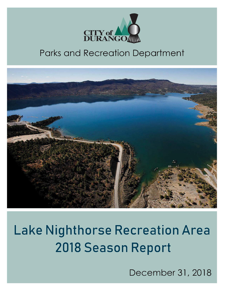

# **Parks and Recreation Department**



# **Lake Nighthorse Recreation Area** 2018 Season Report

December 31, 2018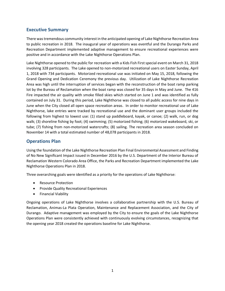# **Executive Summary**

There was tremendous community interest in the anticipated opening of Lake Nighthorse Recreation Area to public recreation in 2018. The inaugural year of operations was eventful and the Durango Parks and Recreation Department implemented adaptive management to ensure recreational experiences were positive and in accordance with the Lake Nighthorse Operations Plan.

Lake Nighthorse opened to the public for recreation with a Kids Fish First special event on March 31, 2018 involving 328 participants. The Lake opened to non-motorized recreational users on Easter Sunday, April 1, 2018 with 734 participants. Motorized recreational use was initiated on May 15, 2018, following the Grand Opening and Dedication Ceremony the previous day. Utilization of Lake Nighthorse Recreation Area was high until the interruption of services began with the reconstruction of the boat ramp parking lot by the Bureau of Reclamation when the boat ramp was closed for 35 days in May and June. The 416 Fire impacted the air quality with smoke filled skies which started on June 1 and was identified as fully contained on July 31. During this period, Lake Nighthorse was closed to all public access for nine days in June when the City closed all open space recreation areas. In order to monitor recreational use of Lake Nighthorse, lake entries were tracked by recreational use and the dominant user groups included the following from highest to lowest use: (1) stand up paddleboard, kayak, or canoe; (2) walk, run, or dog walk; (3) shoreline fishing by foot; (4) swimming; (5) motorized fishing; (6) motorized wakeboard, ski, or tube; (7) fishing from non-motorized watercrafts; (8) sailing. The recreation area season concluded on November 14 with a total estimated number of 48,078 participants in 2018.

# **Operations Plan**

Using the foundation of the Lake Nighthorse Recreation Plan Final Environmental Assessment and Finding of No New Significant Impact issued in December 2016 by the U.S. Department of the Interior Bureau of Reclamation Western Colorado Area Office, the Parks and Recreation Department implemented the Lake Nighthorse Operations Plan in 2018.

Three overarching goals were identified as a priority for the operations of Lake Nighthorse:

- Resource Protection
- Provide Quality Recreational Experiences
- Financial Viability

Ongoing operations of Lake Nighthorse involves a collaborative partnership with the U.S. Bureau of Reclamation, Animas-La Plata Operation, Maintenance and Replacement Association, and the City of Durango. Adaptive management was employed by the City to ensure the goals of the Lake Nighthorse Operations Plan were consistently achieved with continuously evolving circumstances, recognizing that the opening year 2018 created the operations baseline for Lake Nighthorse.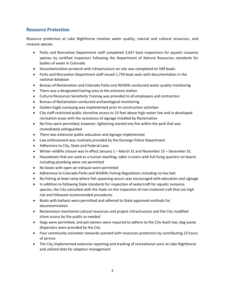# **Resource Protection**

Resource protection at Lake Nighthorse involves water quality, natural and cultural resources, and invasive species.

- Parks and Recreation Department staff completed 3,657 boat inspections for aquatic nuisance species by certified inspectors following the Department of Natural Resources standards for bodies of water in Colorado
- Decontamination protocol with infrastructure on-site was completed on 599 boats
- Parks and Recreation Department staff issued 1,739 boat seals with documentation in the national database
- Bureau of Reclamation and Colorado Parks and Wildlife conducted water quality monitoring
- There was a designated fueling area at the entrance station
- Cultural Resources Sensitivity Training was provided to all employees and contractors
- Bureau of Reclamation conducted archaeological monitoring
- Golden Eagle surveying was implemented prior to construction activities
- City staff restricted public shoreline access to 25 feet above high-water line and in developed recreation areas with the assistance of signage installed by Reclamation
- No fires were permitted, however, lightening started one fire within the park that was immediately extinguished
- There was extensive public education and signage implemented
- Law enforcement was routinely provided by the Durango Police Department
- Adherence to City, State and Federal Laws
- Winter wildlife closure was in effect January 1 March 31 and November 15 December 31
- Houseboats that are used as a human dwelling; cabin cruisers with full living quarters on board, including plumbing were not permitted
- No boats with open-air-exhaust were permitted
- Adherence to Colorado Parks and Wildlife Fishing Regulations including no live bait
- No fishing at boat ramp where fish spawning occurs was encouraged with education and signage
- In addition to following State standards for inspection of watercraft for aquatic nuisance species, the City consulted with the State on the inspection of non-trailered craft that are high risk and followed recommended procedures
- Boats with ballasts were permitted and adhered to State approved methods for decontamination
- Reclamation monitored cultural resources and project infrastructure and the City modified shore access by the public as needed
- Dogs were permitted, and pet owners were required to adhere to the City leash law; dog waste dispensers were provided by the City
- Four community volunteer stewards assisted with resources protection by contributing 23 hours of service
- The City implemented extensive reporting and tracking of recreational users at Lake Nighthorse and utilized data for adaptive management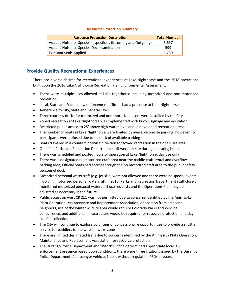#### **Resource Protection Summary**

| <b>Resource Protection Description</b>                       | <b>Total Number</b> |
|--------------------------------------------------------------|---------------------|
| Aquatic Nuisance Species Inspections (Incoming and Outgoing) | 3.657               |
| <b>Aquatic Nuisance Species Decontaminations</b>             | 599                 |
| <b>Exit Boat Seals Applied</b>                               | 1.739               |

# **Provide Quality Recreational Experiences**

There are diverse desires for recreational experiences at Lake Nighthorse and the 2018 operations built upon the 2016 Lake Nighthorse Recreation Plan Environmental Assessment.

- There were multiple uses allowed at Lake Nighthorse including motorized and non-motorized recreation
- Local, State and Federal law enforcement officials had a presence at Lake Nighthorse
- Adherence to City, State and Federal Laws
- Three courtesy docks for motorized and non-motorized users were installed by the City
- Zoned recreation at Lake Nighthorse was implemented with buoys, signage and education
- Restricted public access to 25' above high-water level and in developed recreation areas
- The number of boats at Lake Nighthorse were limited by available on-site parking; however no participants were refused due to the lack of available parking
- Boats travelled in a counterclockwise direction for towed recreation in the open use area
- Qualified Parks and Recreation Department staff were on-site during operating hours
- There was scheduled and posted hours of operation at Lake Nighthorse; day use only
- There was a designated no motorized craft area near the paddle craft rental and overflow parking area; Official boats had access through the no motorized craft area to the public safety personnel dock
- Motorized personal watercraft (e.g. jet skis) were not allowed and there were no special events involving motorized personal watercraft in 2018; Parks and Recreation Department staff closely monitored motorized personal watercraft use requests and the Operations Plan may be adjusted as necessary in the future
- Public access on west CR 211 was not permitted due to concerns identified by the Animas-La Plata Operation, Maintenance and Replacement Association, opposition from adjacent neighbors, use of the winter wildlife area would require Colorado Parks and Wildlife concurrence, and additional infrastructure would be required for resource protection and day use fee collection
- The City will continue to explore volunteer or concessionaire opportunities to provide a shuttle service for paddlers to the west no wake zone
- There are limited designated trails due to concerns identified by the Animas-La Plata Operation, Maintenance and Replacement Association for resource protection
- The Durango Police Department and Sheriff's Office determined appropriate local law enforcement presence based upon conditions; there were three citations issued by the Durango Police Department (2 passenger vehicle, 1 boat without regulation PFDs onboard)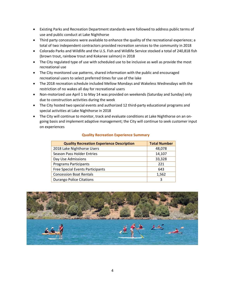- Existing Parks and Recreation Department standards were followed to address public terms of use and public conduct at Lake Nighthorse
- Third party concessions were available to enhance the quality of the recreational experience; a total of two independent contractors provided recreation services to the community in 2018
- Colorado Parks and Wildlife and the U.S. Fish and Wildlife Service stocked a total of 240,818 fish (brown trout, rainbow trout and Kokanee salmon) in 2018
- The City regulated type of use with scheduled use to be inclusive as well as provide the most recreational use
- The City monitored use patterns, shared information with the public and encouraged recreational users to select preferred times for use of the lake
- The 2018 recreation schedule included Mellow Mondays and Wakeless Wednesdays with the restriction of no wakes all day for recreational users
- Non-motorized use April 1 to May 14 was provided on weekends (Saturday and Sunday) only due to construction activities during the week
- The City hosted two special events and authorized 12 third-party educational programs and special activities at Lake Nighthorse in 2018
- The City will continue to monitor, track and evaluate conditions at Lake Nighthorse on an ongoing basis and implement adaptive management; the City will continue to seek customer input on experiences

| <b>Quality Recreation Experience Description</b> | <b>Total Number</b> |
|--------------------------------------------------|---------------------|
| 2018 Lake Nighthorse Users                       | 48,078              |
| <b>Season Pass Holder Entries</b>                | 14,107              |
| Day Use Admissions                               | 33,328              |
| <b>Programs Participants</b>                     | 221                 |
| <b>Free Special Events Participants</b>          | 643                 |
| <b>Concession Boat Rentals</b>                   | 1,562               |
| <b>Durango Police Citations</b>                  | 3                   |

#### **Quality Recreation Experience Summary**

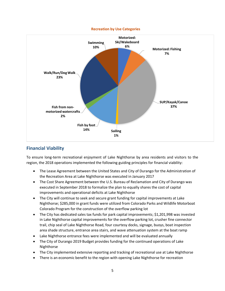

#### **Recreation by Use Categories**

# **Financial Viability**

To ensure long-term recreational enjoyment of Lake Nighthorse by area residents and visitors to the region, the 2018 operations implemented the following guiding principles for financial viability:

- The Lease Agreement between the United States and City of Durango for the Administration of the Recreation Area at Lake Nighthorse was executed in January 2017
- The Cost Share Agreement between the U.S. Bureau of Reclamation and City of Durango was executed in September 2018 to formalize the plan to equally shares the cost of capital improvements and operational deficits at Lake Nighthorse
- The City will continue to seek and secure grant funding for capital improvements at Lake Nighthorse; \$285,000 in grant funds were utilized from Colorado Parks and Wildlife Motorboat Colorado Program for the construction of the overflow parking lot
- The City has dedicated sales tax funds for park capital improvements; \$1,201,998 was invested in Lake Nighthorse capital improvements for the overflow parking lot, crusher fine connector trail, chip seal of Lake Nighthorse Road, four courtesy docks, signage, buoys, boat inspection area shade structure, entrance area stairs, and wave attenuation system at the boat ramp
- Lake Nighthorse entrance fees were implemented and will be evaluated annually
- The City of Durango 2019 Budget provides funding for the continued operations of Lake Nighthorse
- The City implemented extensive reporting and tracking of recreational use at Lake Nighthorse
- There is an economic benefit to the region with opening Lake Nighthorse for recreation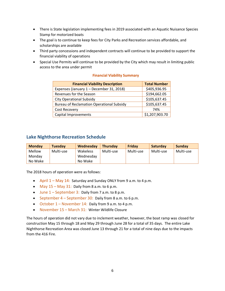- There is State legislation implementing fees in 2019 associated with an Aquatic Nuisance Species Stamp for motorized boats
- The goal is to continue to keep fees for City Parks and Recreation services affordable, and scholarships are available
- Third party concessions and independent contracts will continue to be provided to support the financial viability of operations
- Special Use Permits will continue to be provided by the City which may result in limiting public access to the area under permit

#### **Financial Viability Summary**

| <b>Financial Viability Description</b>           | <b>Total Number</b> |  |
|--------------------------------------------------|---------------------|--|
| Expenses (January 1 - December 31, 2018)         | \$405,936.95        |  |
| Revenues for the Season                          | \$194,662.05        |  |
| <b>City Operational Subsidy</b>                  | \$105,637.45        |  |
| <b>Bureau of Reclamation Operational Subsidy</b> | \$105,637.45        |  |
| <b>Cost Recovery</b>                             | 74%                 |  |
| Capital Improvements                             | \$1,207,903.70      |  |

### **Lake Nighthorse Recreation Schedule**

| <b>Monday</b> | <b>Tuesday</b> | Wednesday | <b>Thursday</b> | Friday    | Saturday  | Sunday    |
|---------------|----------------|-----------|-----------------|-----------|-----------|-----------|
| Mellow        | Multi-use      | Wakeless  | Multi-use       | Multi-use | Multi-use | Multi-use |
| Mondav        |                | Wednesday |                 |           |           |           |
| No Wake       |                | No Wake   |                 |           |           |           |

The 2018 hours of operation were as follows:

- April 1 May 14: Saturday and Sunday ONLY from 9 a.m. to 4 p.m.
- May  $15 -$  May  $31$ : Daily from 8 a.m. to 6 p.m.
- June 1 September 3: Daily from 7 a.m. to 8 p.m.
- September  $4 September 30$ : Daily from 8 a.m. to 6 p.m.
- October 1 November 14: Daily from 9 a.m. to 4 p.m.
- November 15 March 31: Winter Wildlife Closure

The hours of operation did not vary due to inclement weather, however, the boat ramp was closed for construction May 15 through 18 and May 29 through June 28 for a total of 35 days. The entire Lake Nighthorse Recreation Area was closed June 13 through 21 for a total of nine days due to the impacts from the 416 Fire.